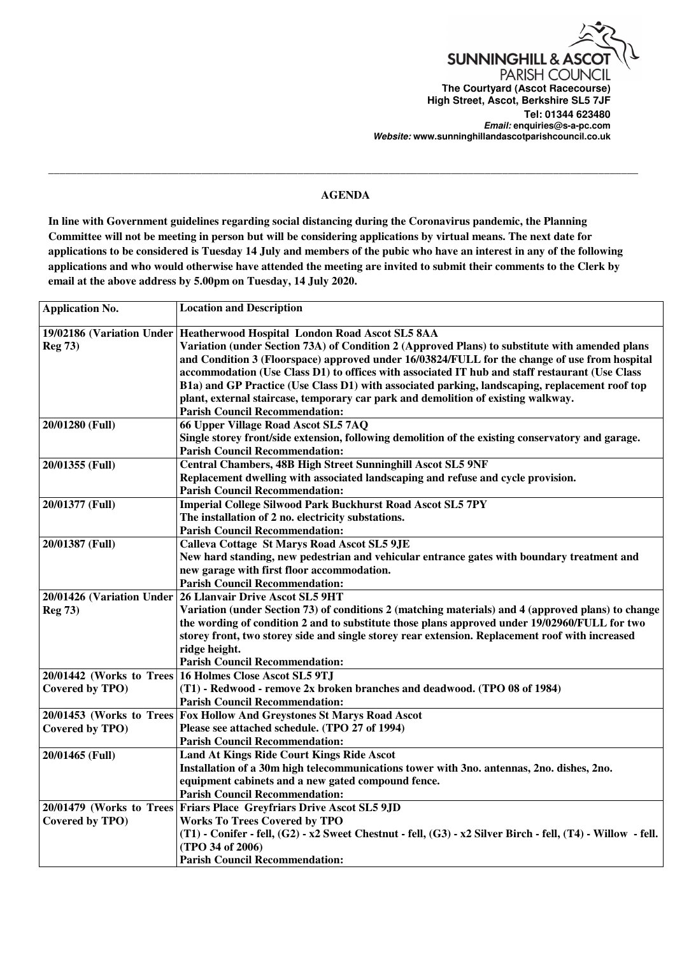

## \_\_\_\_\_\_\_\_\_\_\_\_\_\_\_\_\_\_\_\_\_\_\_\_\_\_\_\_\_\_\_\_\_\_\_\_\_\_\_\_\_\_\_\_\_\_\_\_\_\_\_\_\_\_\_\_\_\_\_\_\_\_\_\_\_\_\_\_\_\_\_\_\_\_\_\_\_\_\_\_\_\_\_\_\_\_\_\_\_\_\_\_\_\_\_\_\_\_\_\_\_\_\_\_ **AGENDA**

**In line with Government guidelines regarding social distancing during the Coronavirus pandemic, the Planning Committee will not be meeting in person but will be considering applications by virtual means. The next date for applications to be considered is Tuesday 14 July and members of the pubic who have an interest in any of the following applications and who would otherwise have attended the meeting are invited to submit their comments to the Clerk by email at the above address by 5.00pm on Tuesday, 14 July 2020.**

| <b>Application No.</b>    | <b>Location and Description</b>                                                                              |
|---------------------------|--------------------------------------------------------------------------------------------------------------|
|                           | 19/02186 (Variation Under   Heatherwood Hospital London Road Ascot SL5 8AA                                   |
| <b>Reg 73)</b>            | Variation (under Section 73A) of Condition 2 (Approved Plans) to substitute with amended plans               |
|                           | and Condition 3 (Floorspace) approved under 16/03824/FULL for the change of use from hospital                |
|                           | accommodation (Use Class D1) to offices with associated IT hub and staff restaurant (Use Class               |
|                           | B1a) and GP Practice (Use Class D1) with associated parking, landscaping, replacement roof top               |
|                           | plant, external staircase, temporary car park and demolition of existing walkway.                            |
|                           | <b>Parish Council Recommendation:</b>                                                                        |
| 20/01280 (Full)           | 66 Upper Village Road Ascot SL5 7AQ                                                                          |
|                           | Single storey front/side extension, following demolition of the existing conservatory and garage.            |
|                           | <b>Parish Council Recommendation:</b>                                                                        |
| 20/01355 (Full)           | <b>Central Chambers, 48B High Street Sunninghill Ascot SL5 9NF</b>                                           |
|                           | Replacement dwelling with associated landscaping and refuse and cycle provision.                             |
|                           | <b>Parish Council Recommendation:</b>                                                                        |
| 20/01377 (Full)           | <b>Imperial College Silwood Park Buckhurst Road Ascot SL5 7PY</b>                                            |
|                           | The installation of 2 no. electricity substations.                                                           |
|                           | <b>Parish Council Recommendation:</b>                                                                        |
| 20/01387 (Full)           | <b>Calleva Cottage St Marys Road Ascot SL5 9JE</b>                                                           |
|                           | New hard standing, new pedestrian and vehicular entrance gates with boundary treatment and                   |
|                           | new garage with first floor accommodation.                                                                   |
|                           | <b>Parish Council Recommendation:</b>                                                                        |
| 20/01426 (Variation Under | 26 Llanvair Drive Ascot SL5 9HT                                                                              |
| <b>Reg 73)</b>            | Variation (under Section 73) of conditions 2 (matching materials) and 4 (approved plans) to change           |
|                           | the wording of condition 2 and to substitute those plans approved under 19/02960/FULL for two                |
|                           | storey front, two storey side and single storey rear extension. Replacement roof with increased              |
|                           | ridge height.                                                                                                |
|                           | <b>Parish Council Recommendation:</b>                                                                        |
|                           | 20/01442 (Works to Trees 16 Holmes Close Ascot SL5 9TJ                                                       |
| Covered by TPO)           | (T1) - Redwood - remove 2x broken branches and deadwood. (TPO 08 of 1984)                                    |
|                           | <b>Parish Council Recommendation:</b>                                                                        |
|                           | 20/01453 (Works to Trees Fox Hollow And Greystones St Marys Road Ascot                                       |
| Covered by TPO)           | Please see attached schedule. (TPO 27 of 1994)                                                               |
|                           | <b>Parish Council Recommendation:</b>                                                                        |
| 20/01465 (Full)           | Land At Kings Ride Court Kings Ride Ascot                                                                    |
|                           | Installation of a 30m high telecommunications tower with 3no. antennas, 2no. dishes, 2no.                    |
|                           | equipment cabinets and a new gated compound fence.                                                           |
|                           | <b>Parish Council Recommendation:</b>                                                                        |
|                           | 20/01479 (Works to Trees Friars Place Greyfriars Drive Ascot SL5 9JD                                         |
| Covered by TPO)           | <b>Works To Trees Covered by TPO</b>                                                                         |
|                           | (T1) - Conifer - fell, (G2) - x2 Sweet Chestnut - fell, (G3) - x2 Silver Birch - fell, (T4) - Willow - fell. |
|                           | (TPO 34 of 2006)                                                                                             |
|                           | <b>Parish Council Recommendation:</b>                                                                        |